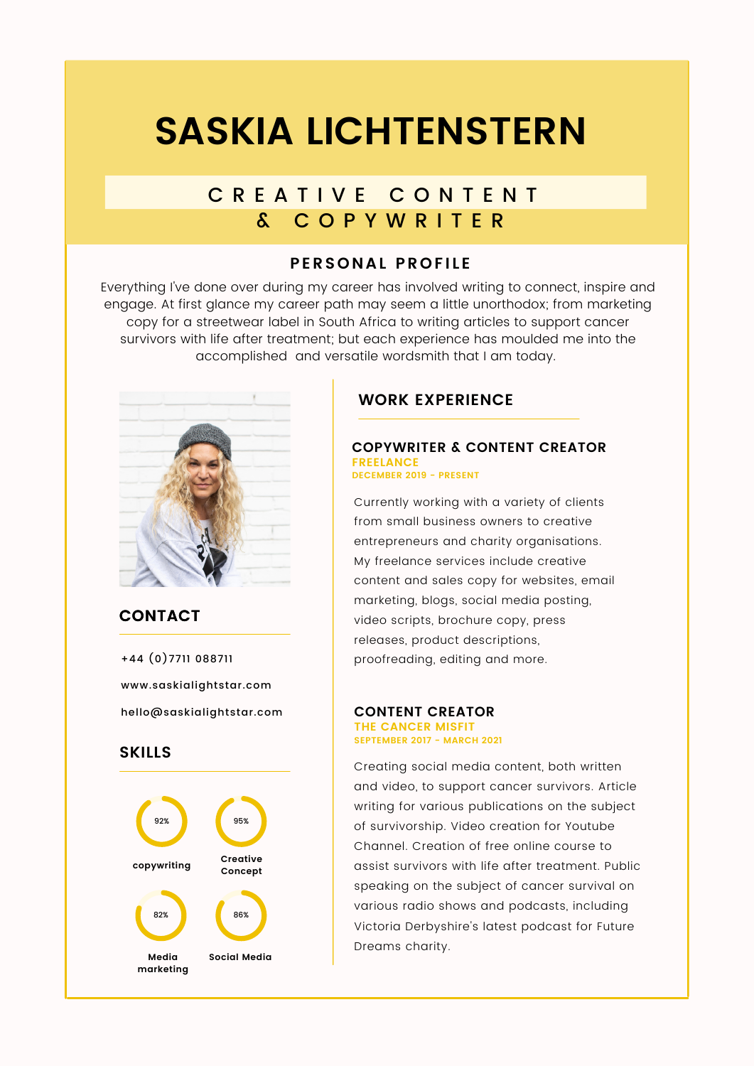# **SASKIA LICHTENSTERN**

## C R E A T I V E C O N T E N T & C O P Y W R I T E R

## **PERSONAL PROFILE**

Everything I've done over during my career has involved writing to connect, inspire and engage. At first glance my career path may seem a little unorthodox; from marketing copy for a streetwear label in South Africa to writing articles to support cancer survivors with life after treatment; but each experience has moulded me into the accomplished and versatile wordsmith that I am today.



## **CONTACT**

hello@saskialightstar.com +44 (0)7711 088711 www.saskialightstar.com

## **SKILLS**



## **WORK EXPERIENCE**

#### **COPYWRITER & CONTENT CREATOR FREELANCE DECEMBER 2019 - PRESENT**

Currently working with a variety of clients from small business owners to creative entrepreneurs and charity organisations. My freelance services include creative content and sales copy for websites, email marketing, blogs, social media posting, video scripts, brochure copy, press releases, product descriptions, proofreading, editing and more.

#### **CONTENT CREATOR THE CANCER MISFIT SEPTEMBER 2017 - MARCH 2021**

Creating social media content, both written and video, to support cancer survivors. Article writing for various publications on the subject of survivorship. Video creation for Youtube Channel. Creation of free online course to assist survivors with life after treatment. Public speaking on the subject of cancer survival on various radio shows and podcasts, including Victoria Derbyshire's latest podcast for Future Dreams charity.